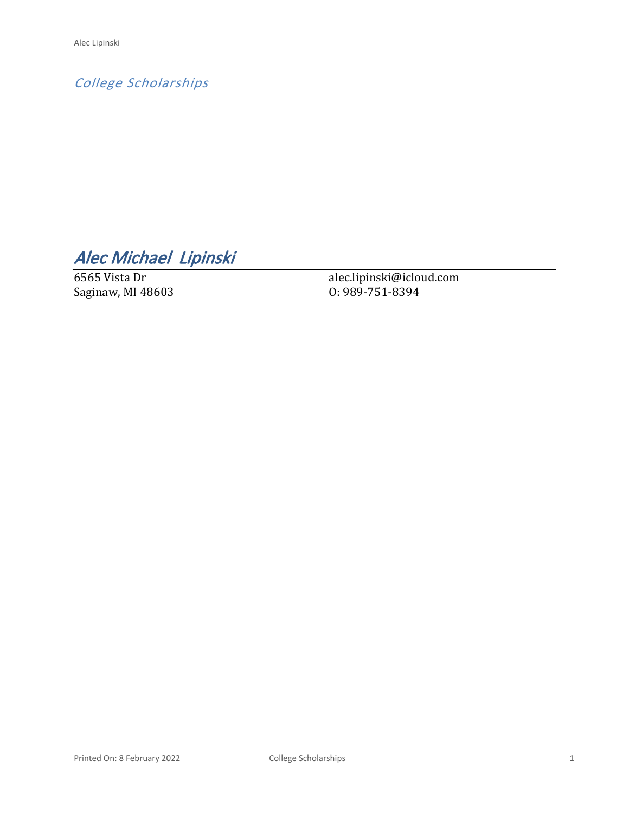*College Scholarships*

*Alec Michael Lipinski* 

6565 Vista Dr Saginaw, MI 48603 alec.lipinski@icloud.com O: 989-751-8394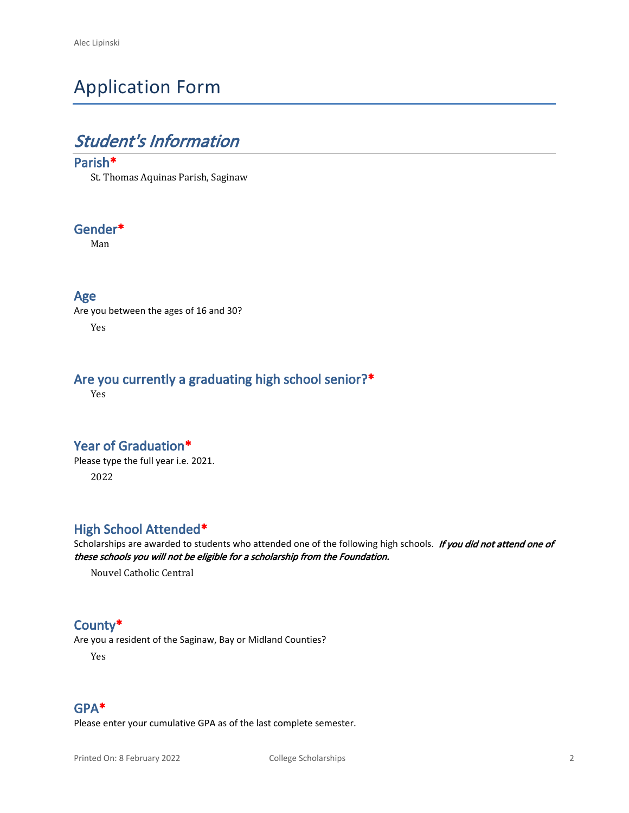# Application Form

## *Student's Information*

#### **Parish\***

St. Thomas Aquinas Parish, Saginaw

#### **Gender\***

Man

#### **Age**

Are you between the ages of 16 and 30? Yes

### **Are you currently a graduating high school senior?\***

Yes

#### **Year of Graduation\***

Please type the full year i.e. 2021. 2022

### **High School Attended\***

Scholarships are awarded to students who attended one of the following high schools. *If you did not attend one of these schools you will not be eligible for a scholarship from the Foundation.*

Nouvel Catholic Central

#### **County\***

Are you a resident of the Saginaw, Bay or Midland Counties?

Yes

#### **GPA\***

Please enter your cumulative GPA as of the last complete semester.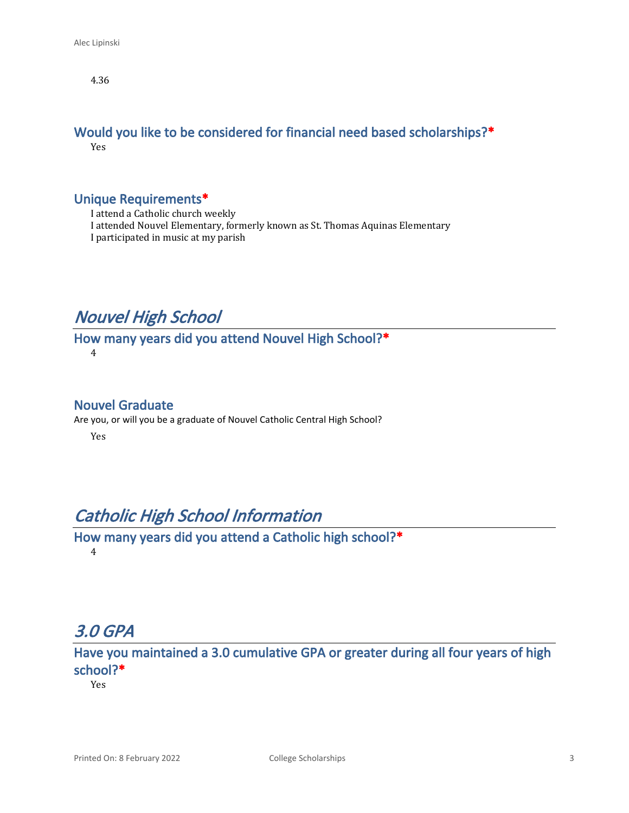4.36

#### **Would you like to be considered for financial need based scholarships?\*** Yes

#### **Unique Requirements\***

I attend a Catholic church weekly

I attended Nouvel Elementary, formerly known as St. Thomas Aquinas Elementary

I participated in music at my parish

## *Nouvel High School*

#### **How many years did you attend Nouvel High School?\*** 4

**Nouvel Graduate**

Are you, or will you be a graduate of Nouvel Catholic Central High School? Yes

## *Catholic High School Information*

**How many years did you attend a Catholic high school?\*** 4

## *3.0 GPA*

**Have you maintained a 3.0 cumulative GPA or greater during all four years of high school?\***

Yes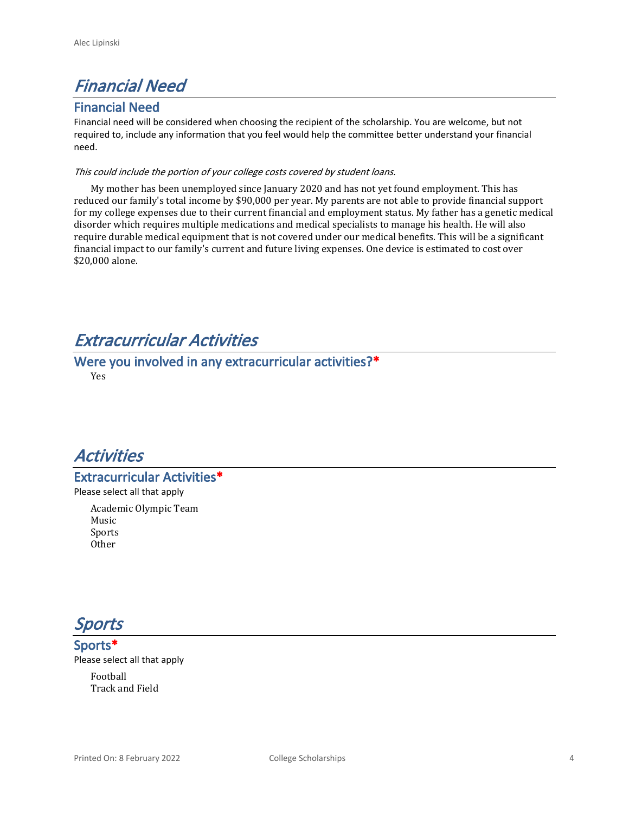## *Financial Need*

#### **Financial Need**

Financial need will be considered when choosing the recipient of the scholarship. You are welcome, but not required to, include any information that you feel would help the committee better understand your financial need.

#### *This could include the portion of your college costs covered by student loans.*

My mother has been unemployed since January 2020 and has not yet found employment. This has reduced our family's total income by \$90,000 per year. My parents are not able to provide financial support for my college expenses due to their current financial and employment status. My father has a genetic medical disorder which requires multiple medications and medical specialists to manage his health. He will also require durable medical equipment that is not covered under our medical benefits. This will be a significant financial impact to our family's current and future living expenses. One device is estimated to cost over \$20,000 alone.

## *Extracurricular Activities*

**Were you involved in any extracurricular activities?\*** Yes



**Extracurricular Activities\***

Please select all that apply

Academic Olympic Team Music Sports Other

*Sports*

**Sports\*** Please select all that apply Football

Track and Field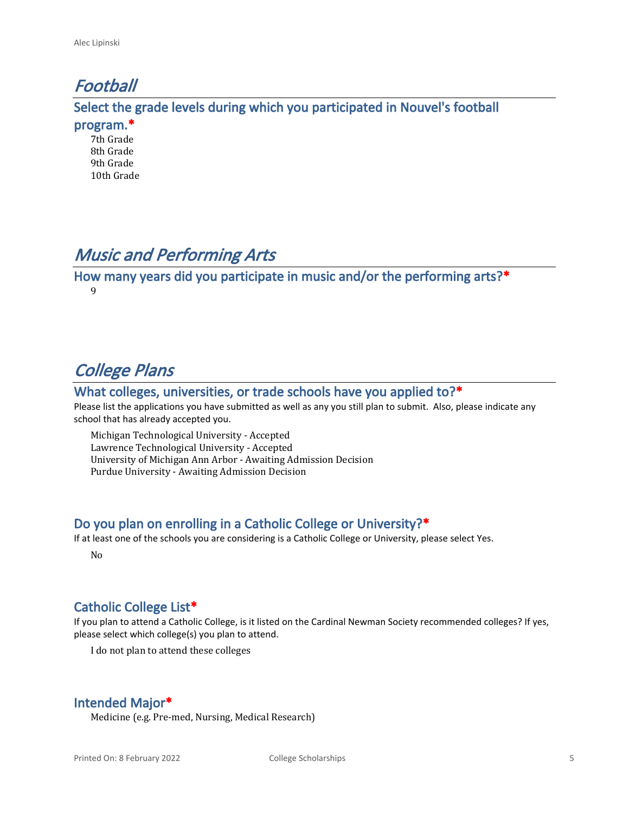## *Football*

**Select the grade levels during which you participated in Nouvel's football** 

**program.\***

7th Grade 8th Grade 9th Grade 10th Grade

## *Music and Performing Arts*

**How many years did you participate in music and/or the performing arts?\*** 9

# *College Plans*

#### **What colleges, universities, or trade schools have you applied to?\***

Please list the applications you have submitted as well as any you still plan to submit. Also, please indicate any school that has already accepted you.

Michigan Technological University - Accepted Lawrence Technological University - Accepted University of Michigan Ann Arbor - Awaiting Admission Decision Purdue University - Awaiting Admission Decision

### **Do you plan on enrolling in a Catholic College or University?\***

If at least one of the schools you are considering is a Catholic College or University, please select Yes.

No

### **Catholic College List\***

If you plan to attend a Catholic College, is it listed on the Cardinal Newman Society recommended colleges? If yes, please select which college(s) you plan to attend.

I do not plan to attend these colleges

### **Intended Major\***

Medicine (e.g. Pre-med, Nursing, Medical Research)

Printed On: 8 February 2022 College Scholarships 5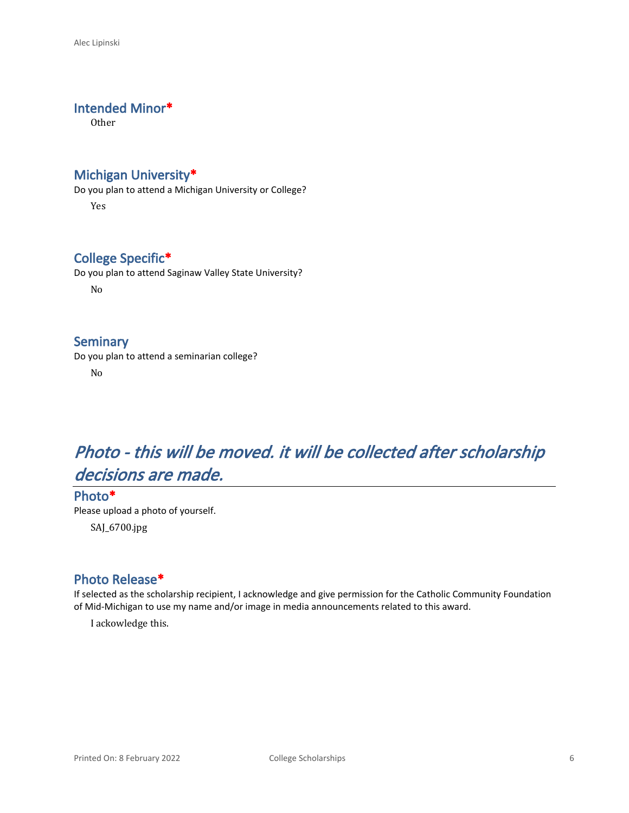#### **Intended Minor\***

Other

#### **Michigan University\***

Do you plan to attend a Michigan University or College? Yes

### **College Specific\***

Do you plan to attend Saginaw Valley State University? No

### **Seminary**

Do you plan to attend a seminarian college?

No

# *Photo - this will be moved. it will be collected after scholarship decisions are made.*

### **Photo\*** Please upload a photo of yourself.

SAJ\_6700.jpg

### **Photo Release\***

If selected as the scholarship recipient, I acknowledge and give permission for the Catholic Community Foundation of Mid-Michigan to use my name and/or image in media announcements related to this award.

I ackowledge this.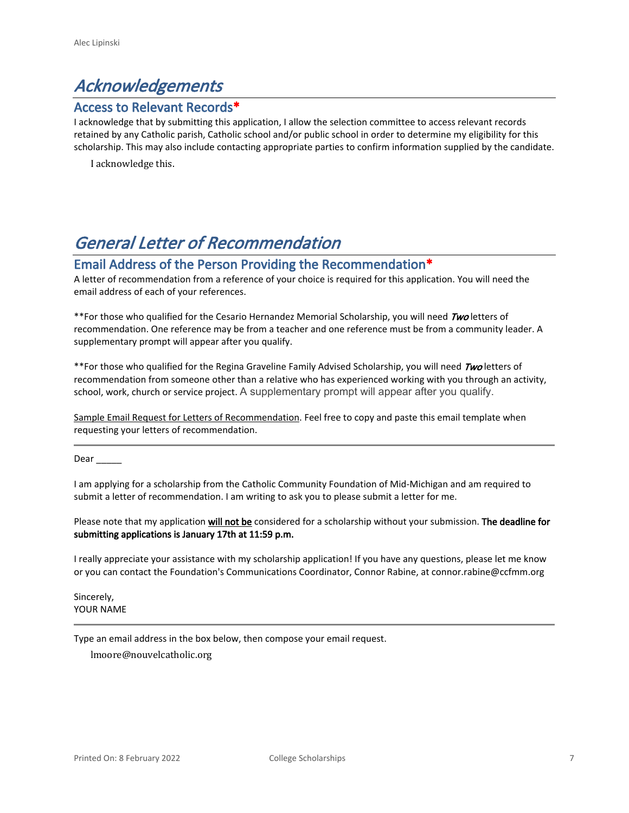## *Acknowledgements*

#### **Access to Relevant Records\***

I acknowledge that by submitting this application, I allow the selection committee to access relevant records retained by any Catholic parish, Catholic school and/or public school in order to determine my eligibility for this scholarship. This may also include contacting appropriate parties to confirm information supplied by the candidate.

I acknowledge this.

## *General Letter of Recommendation*

#### **Email Address of the Person Providing the Recommendation\***

A letter of recommendation from a reference of your choice is required for this application. You will need the email address of each of your references.

\*\*For those who qualified for the Cesario Hernandez Memorial Scholarship, you will need *Two* letters of recommendation. One reference may be from a teacher and one reference must be from a community leader. A supplementary prompt will appear after you qualify.

\*\*For those who qualified for the Regina Graveline Family Advised Scholarship, you will need *Two* letters of recommendation from someone other than a relative who has experienced working with you through an activity, school, work, church or service project. A supplementary prompt will appear after you qualify.

Sample Email Request for Letters of Recommendation. Feel free to copy and paste this email template when requesting your letters of recommendation.

Dear \_\_\_\_\_

I am applying for a scholarship from the Catholic Community Foundation of Mid-Michigan and am required to submit a letter of recommendation. I am writing to ask you to please submit a letter for me.

Please note that my application **will not be** considered for a scholarship without your submission. **The deadline for submitting applications is January 17th at 11:59 p.m.**

I really appreciate your assistance with my scholarship application! If you have any questions, please let me know or you can contact the Foundation's Communications Coordinator, Connor Rabine, at connor.rabine@ccfmm.org

Sincerely, YOUR NAME

Type an email address in the box below, then compose your email request.

lmoore@nouvelcatholic.org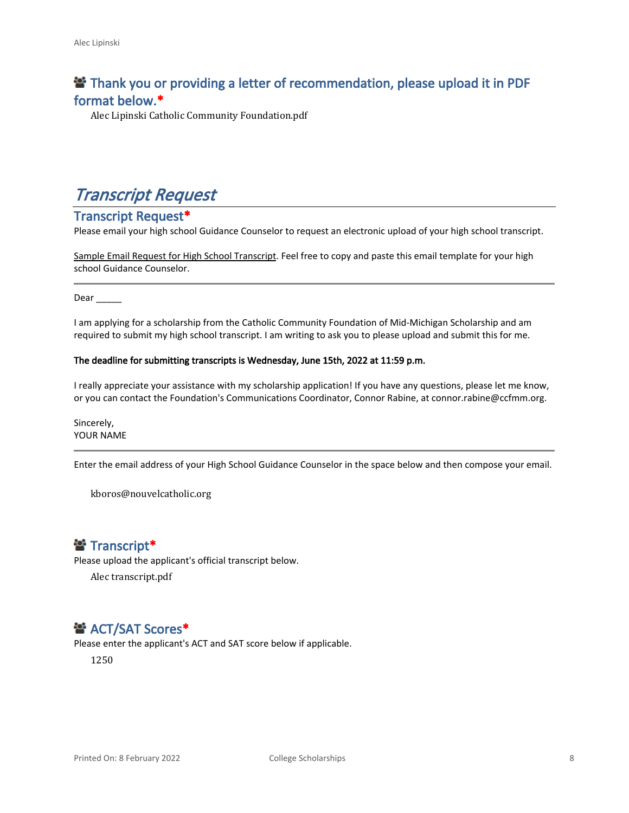### **<sup>2</sup> Thank you or providing a letter of recommendation, please upload it in PDF format below.\***

Alec Lipinski Catholic Community Foundation.pdf

## *Transcript Request*

#### **Transcript Request\***

Please email your high school Guidance Counselor to request an electronic upload of your high school transcript.

Sample Email Request for High School Transcript. Feel free to copy and paste this email template for your high school Guidance Counselor.

Dear  $\qquad$ 

I am applying for a scholarship from the Catholic Community Foundation of Mid-Michigan Scholarship and am required to submit my high school transcript. I am writing to ask you to please upload and submit this for me.

#### **The deadline for submitting transcripts is Wednesday, June 15th, 2022 at 11:59 p.m.**

I really appreciate your assistance with my scholarship application! If you have any questions, please let me know, or you can contact the Foundation's Communications Coordinator, Connor Rabine, at connor.rabine@ccfmm.org.

Sincerely, YOUR NAME

Enter the email address of your High School Guidance Counselor in the space below and then compose your email.

kboros@nouvelcatholic.org

### **Transcript\***

Please upload the applicant's official transcript below.

Alec transcript.pdf

### $\mathbf{B}^*$  **ACT/SAT Scores\***

Please enter the applicant's ACT and SAT score below if applicable.

1250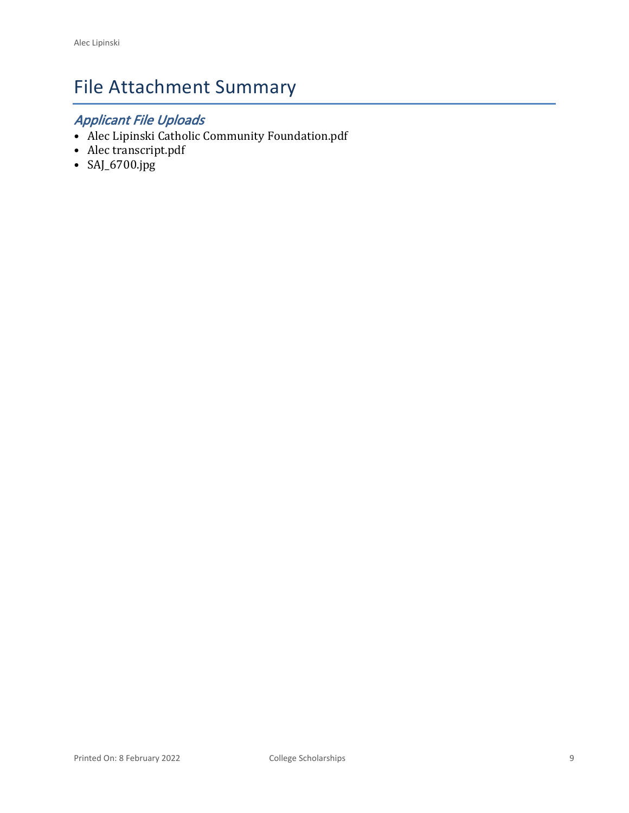# File Attachment Summary

## *Applicant File Uploads*

- Alec Lipinski Catholic Community Foundation.pdf
- Alec transcript.pdf
- SAJ\_6700.jpg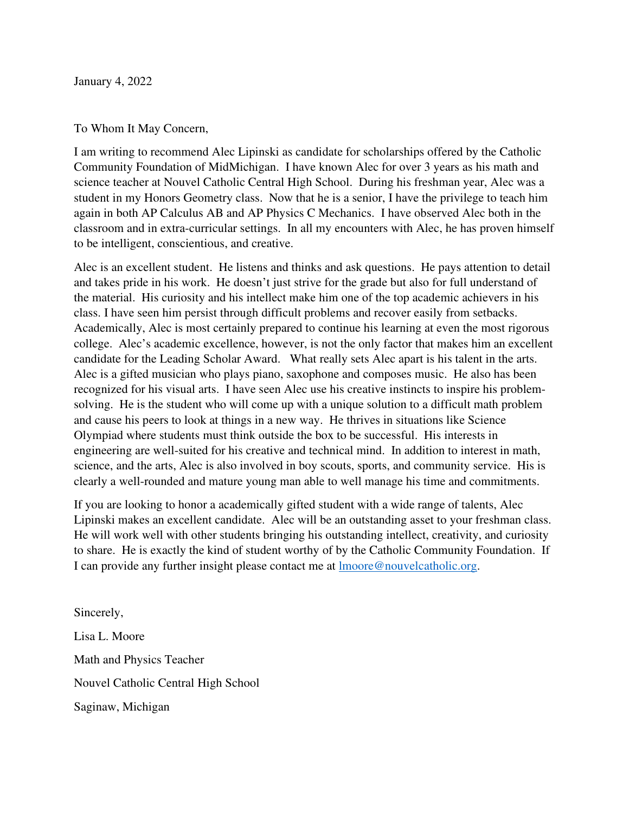January 4, 2022

#### To Whom It May Concern,

I am writing to recommend Alec Lipinski as candidate for scholarships offered by the Catholic Community Foundation of MidMichigan. I have known Alec for over 3 years as his math and science teacher at Nouvel Catholic Central High School. During his freshman year, Alec was a student in my Honors Geometry class. Now that he is a senior, I have the privilege to teach him again in both AP Calculus AB and AP Physics C Mechanics. I have observed Alec both in the classroom and in extra-curricular settings. In all my encounters with Alec, he has proven himself to be intelligent, conscientious, and creative.

Alec is an excellent student. He listens and thinks and ask questions. He pays attention to detail and takes pride in his work. He doesn't just strive for the grade but also for full understand of the material. His curiosity and his intellect make him one of the top academic achievers in his class. I have seen him persist through difficult problems and recover easily from setbacks. Academically, Alec is most certainly prepared to continue his learning at even the most rigorous college. Alec's academic excellence, however, is not the only factor that makes him an excellent candidate for the Leading Scholar Award. What really sets Alec apart is his talent in the arts. Alec is a gifted musician who plays piano, saxophone and composes music. He also has been recognized for his visual arts. I have seen Alec use his creative instincts to inspire his problemsolving. He is the student who will come up with a unique solution to a difficult math problem and cause his peers to look at things in a new way. He thrives in situations like Science Olympiad where students must think outside the box to be successful. His interests in engineering are well-suited for his creative and technical mind. In addition to interest in math, science, and the arts, Alec is also involved in boy scouts, sports, and community service. His is clearly a well-rounded and mature young man able to well manage his time and commitments.

If you are looking to honor a academically gifted student with a wide range of talents, Alec Lipinski makes an excellent candidate. Alec will be an outstanding asset to your freshman class. He will work well with other students bringing his outstanding intellect, creativity, and curiosity to share. He is exactly the kind of student worthy of by the Catholic Community Foundation. If I can provide any further insight please contact me at lmoore@nouvelcatholic.org.

Sincerely, Lisa L. Moore Math and Physics Teacher Nouvel Catholic Central High School Saginaw, Michigan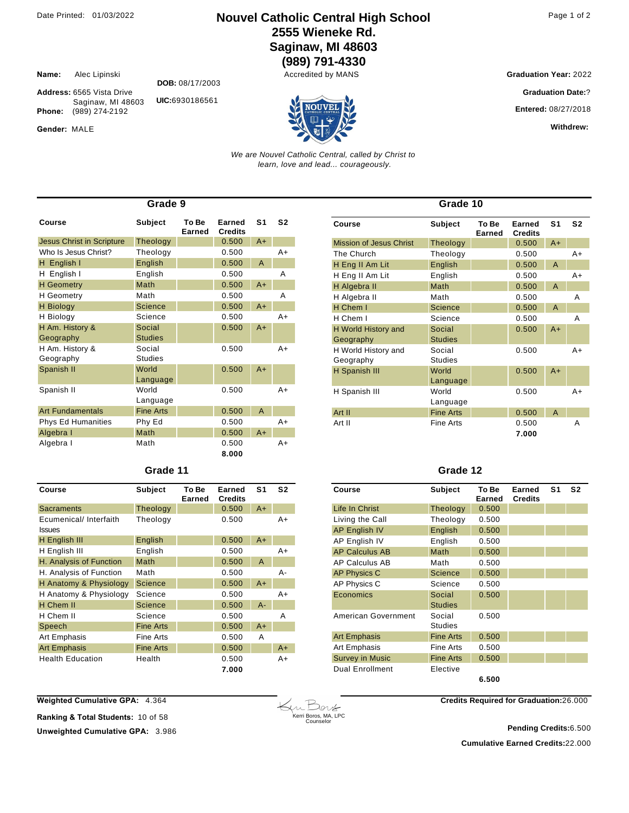**Name:** Alec Lipinski **Address:** 6565 Vista Drive

**Phone:** (989) 274-2192

Gender: MALE

### Date Printed: 01/03/2022 **Nouvel Catholic Central High School** Page 1 of 2 **2555 Wieneke Rd. Saginaw, MI 48603**

**(989) 791-4330**

**Graduation Year: 2022** 

**Graduation Date:**?

**Entered:** 08/27/2018

**Withdrew:** 

*We are Nouvel Catholic Central, called by Christ to learn, love and lead... courageously.*

| Grade 9                          |                  |                 |                          |                |                |
|----------------------------------|------------------|-----------------|--------------------------|----------------|----------------|
| Course                           | <b>Subject</b>   | To Be<br>Earned | Earned<br><b>Credits</b> | S <sub>1</sub> | S <sub>2</sub> |
| <b>Jesus Christ in Scripture</b> | Theology         |                 | 0.500                    | $A+$           |                |
| Who Is Jesus Christ?             | Theology         |                 | 0.500                    |                | $A+$           |
| H English I                      | English          |                 | 0.500                    | A              |                |
| English I<br>H                   | English          |                 | 0.500                    |                | A              |
| <b>H</b> Geometry                | Math             |                 | 0.500                    | $A+$           |                |
| <b>H</b> Geometry                | Math             |                 | 0.500                    |                | A              |
| <b>H</b> Biology                 | Science          |                 | 0.500                    | $A+$           |                |
| H Biology                        | Science          |                 | 0.500                    |                | $A+$           |
| H Am. History &                  | Social           |                 | 0.500                    | $A+$           |                |
| Geography                        | <b>Studies</b>   |                 |                          |                |                |
| H Am. History &                  | Social           |                 | 0.500                    |                | $A+$           |
| Geography                        | <b>Studies</b>   |                 |                          |                |                |
| Spanish II                       | World            |                 | 0.500                    | $A+$           |                |
|                                  | Language         |                 |                          |                |                |
| Spanish II                       | World            |                 | 0.500                    |                | $A+$           |
|                                  | Language         |                 |                          |                |                |
| <b>Art Fundamentals</b>          | <b>Fine Arts</b> |                 | 0.500                    | $\overline{A}$ |                |
| <b>Phys Ed Humanities</b>        | Phy Ed           |                 | 0.500                    |                | $A+$           |
| Algebra I                        | Math             |                 | 0.500                    | $A+$           |                |
| Algebra I                        | Math             |                 | 0.500                    |                | $A+$           |
|                                  |                  |                 | 8.000                    |                |                |

| Grade 11 |  |
|----------|--|
|----------|--|

| Course                                  | <b>Subject</b>   | To Be<br>Earned | Earned<br><b>Credits</b> | S1    | S2   |
|-----------------------------------------|------------------|-----------------|--------------------------|-------|------|
| Sacraments                              | Theology         |                 | 0.500                    | $A+$  |      |
| Ecumenical/ Interfaith<br><b>Issues</b> | Theology         |                 | 0.500                    |       | A+   |
| H English III                           | English          |                 | 0.500                    | $A+$  |      |
| H English III                           | English          |                 | 0.500                    |       | $A+$ |
| H. Analysis of Function                 | Math             |                 | 0.500                    | A     |      |
| H. Analysis of Function                 | Math             |                 | 0.500                    |       | А-   |
| H Anatomy & Physiology                  | <b>Science</b>   |                 | 0.500                    | $A+$  |      |
| H Anatomy & Physiology                  | Science          |                 | 0.500                    |       | $A+$ |
| H Chem II                               | <b>Science</b>   |                 | 0.500                    | $A -$ |      |
| H Chem II                               | Science          |                 | 0.500                    |       | А    |
| Speech                                  | <b>Fine Arts</b> |                 | 0.500                    | $A+$  |      |
| Art Emphasis                            | Fine Arts        |                 | 0.500                    | A     |      |
| <b>Art Emphasis</b>                     | <b>Fine Arts</b> |                 | 0.500                    |       | A+   |
| <b>Health Education</b>                 | Health           |                 | 0.500<br>7.000           |       | A+   |

| Grade 10                         |                          |                 |                          |                |                |
|----------------------------------|--------------------------|-----------------|--------------------------|----------------|----------------|
| Course                           | Subject                  | To Be<br>Earned | Earned<br><b>Credits</b> | S <sub>1</sub> | S <sub>2</sub> |
| <b>Mission of Jesus Christ</b>   | Theology                 |                 | 0.500                    | $A+$           |                |
| The Church                       | Theology                 |                 | 0.500                    |                | A+             |
| H Eng II Am Lit                  | English                  |                 | 0.500                    | A              |                |
| H Eng II Am Lit                  | English                  |                 | 0.500                    |                | $A+$           |
| H Algebra II                     | Math                     |                 | 0.500                    | A              |                |
| H Algebra II                     | Math                     |                 | 0.500                    |                | Α              |
| H Chem I                         | <b>Science</b>           |                 | 0.500                    | A              |                |
| H Chem I                         | Science                  |                 | 0.500                    |                | A              |
| H World History and<br>Geography | Social<br><b>Studies</b> |                 | 0.500                    | $A+$           |                |
| H World History and<br>Geography | Social<br><b>Studies</b> |                 | 0.500                    |                | $A+$           |
| H Spanish III                    | World<br>Language        |                 | 0.500                    | $A+$           |                |
| H Spanish III                    | World<br>Language        |                 | 0.500                    |                | $A+$           |
| Art II                           | <b>Fine Arts</b>         |                 | 0.500                    | A              |                |
| Art II                           | <b>Fine Arts</b>         |                 | 0.500                    |                | Α              |
|                                  |                          |                 | 7.000                    |                |                |

#### **Grade 12**

| Course                 | <b>Subject</b>           | To Be<br>Earned | Earned<br><b>Credits</b> | S <sub>1</sub> | S <sub>2</sub> |
|------------------------|--------------------------|-----------------|--------------------------|----------------|----------------|
| Life In Christ         | Theology                 | 0.500           |                          |                |                |
| Living the Call        | Theology                 | 0.500           |                          |                |                |
| AP English IV          | English                  | 0.500           |                          |                |                |
| AP English IV          | English                  | 0.500           |                          |                |                |
| <b>AP Calculus AB</b>  | Math                     | 0.500           |                          |                |                |
| AP Calculus AB         | Math                     | 0.500           |                          |                |                |
| <b>AP Physics C</b>    | <b>Science</b>           | 0.500           |                          |                |                |
| AP Physics C           | Science                  | 0.500           |                          |                |                |
| Economics              | Social<br><b>Studies</b> | 0.500           |                          |                |                |
| American Government    | Social<br><b>Studies</b> | 0.500           |                          |                |                |
| <b>Art Emphasis</b>    | <b>Fine Arts</b>         | 0.500           |                          |                |                |
| Art Emphasis           | Fine Arts                | 0.500           |                          |                |                |
| <b>Survey in Music</b> | <b>Fine Arts</b>         | 0.500           |                          |                |                |
| <b>Dual Enrollment</b> | Elective                 |                 |                          |                |                |
|                        |                          | 6.500           |                          |                |                |

**Weighted Cumulative GPA:** 4.364

**Ranking & Total Students:** 10 of 58

**Unweighted Cumulative GPA: 3.986** 



**Credits Required for Graduation:**26.000

**Cumulative Earned Credits:**22.000 **Pending Credits:**6.500

Saginaw, MI 48603 **DOB:** 08/17/2003 **UIC:**6930186561

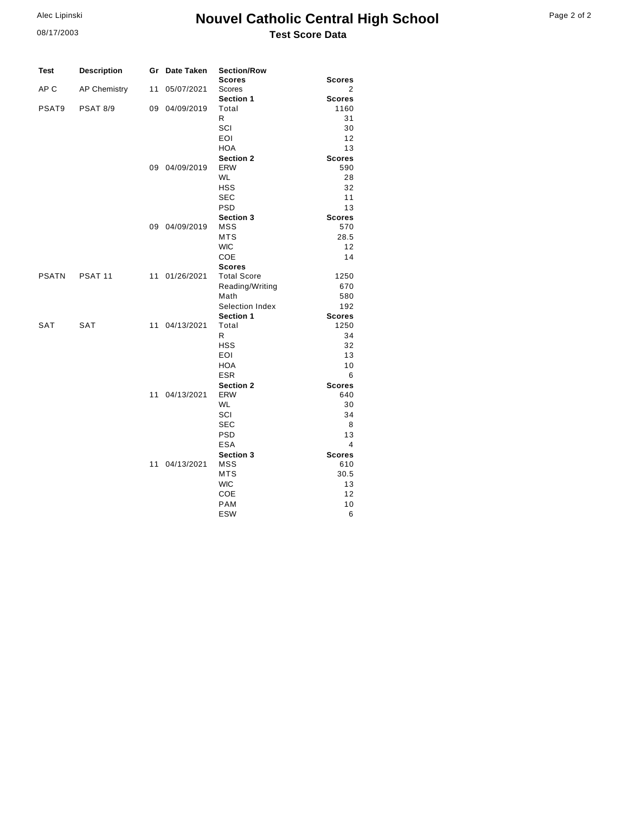### **Nouvel Catholic Central High School Test Score Data**

| Page 2 of 2 |  |  |  |
|-------------|--|--|--|
|-------------|--|--|--|

| <b>Description</b><br>Gr Date Taken<br><b>Section/Row</b><br>Test    |                |
|----------------------------------------------------------------------|----------------|
| <b>Scores</b>                                                        | <b>Scores</b>  |
| AP <sub>C</sub><br><b>AP Chemistry</b><br>11<br>05/07/2021<br>Scores | 2              |
| Section 1                                                            | <b>Scores</b>  |
| PSAT9<br><b>PSAT 8/9</b><br>09 04/09/2019<br>Total                   | 1160           |
| R                                                                    | 31             |
| SCI                                                                  | 30             |
| EOI                                                                  | 12             |
| <b>HOA</b>                                                           | 13             |
| Section 2                                                            | <b>Scores</b>  |
| <b>ERW</b><br>09 04/09/2019                                          | 590            |
| <b>WL</b>                                                            | 28             |
| <b>HSS</b>                                                           | 32             |
| <b>SEC</b>                                                           | 11             |
| <b>PSD</b>                                                           | 13             |
| Section 3                                                            | <b>Scores</b>  |
| <b>MSS</b><br>09 04/09/2019                                          | 570            |
| <b>MTS</b>                                                           | 28.5           |
| <b>WIC</b>                                                           | 12             |
| COE                                                                  | 14             |
| <b>Scores</b>                                                        |                |
| <b>PSATN</b><br>PSAT 11<br>11 01/26/2021<br><b>Total Score</b>       | 1250           |
| Reading/Writing                                                      | 670            |
| Math                                                                 | 580            |
| Selection Index                                                      | 192            |
| Section 1                                                            | <b>Scores</b>  |
| <b>SAT</b><br><b>SAT</b><br>11 04/13/2021<br>Total                   | 1250           |
| R                                                                    | 34             |
| <b>HSS</b>                                                           | 32             |
| <b>EOI</b>                                                           | 13             |
| <b>HOA</b>                                                           | 10             |
| <b>ESR</b>                                                           | 6              |
| <b>Section 2</b>                                                     | <b>Scores</b>  |
| 11 04/13/2021<br><b>ERW</b>                                          | 640            |
| <b>WL</b>                                                            | 30             |
| SCI                                                                  | 34             |
| <b>SEC</b>                                                           | 8              |
| <b>PSD</b>                                                           | 13             |
| <b>ESA</b>                                                           | $\overline{4}$ |
| Section 3                                                            | <b>Scores</b>  |
| <b>MSS</b><br>11 04/13/2021                                          | 610            |
| <b>MTS</b>                                                           | 30.5           |
| <b>WIC</b>                                                           | 13             |
| COE                                                                  |                |
|                                                                      | 12             |
| <b>PAM</b>                                                           | 10             |